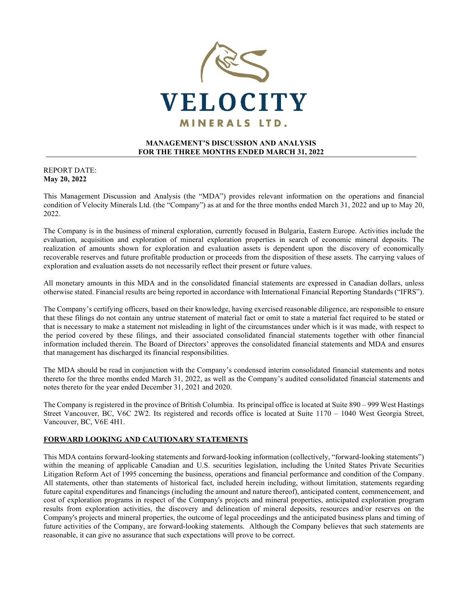

## **MANAGEMENT'S DISCUSSION AND ANALYSIS FOR THE THREE MONTHS ENDED MARCH 31, 2022**

### REPORT DATE: **May 20, 2022**

This Management Discussion and Analysis (the "MDA") provides relevant information on the operations and financial condition of Velocity Minerals Ltd. (the "Company") as at and for the three months ended March 31, 2022 and up to May 20, 2022.

The Company is in the business of mineral exploration, currently focused in Bulgaria, Eastern Europe. Activities include the evaluation, acquisition and exploration of mineral exploration properties in search of economic mineral deposits. The realization of amounts shown for exploration and evaluation assets is dependent upon the discovery of economically recoverable reserves and future profitable production or proceeds from the disposition of these assets. The carrying values of exploration and evaluation assets do not necessarily reflect their present or future values.

All monetary amounts in this MDA and in the consolidated financial statements are expressed in Canadian dollars, unless otherwise stated. Financial results are being reported in accordance with International Financial Reporting Standards ("IFRS").

The Company's certifying officers, based on their knowledge, having exercised reasonable diligence, are responsible to ensure that these filings do not contain any untrue statement of material fact or omit to state a material fact required to be stated or that is necessary to make a statement not misleading in light of the circumstances under which is it was made, with respect to the period covered by these filings, and their associated consolidated financial statements together with other financial information included therein. The Board of Directors' approves the consolidated financial statements and MDA and ensures that management has discharged its financial responsibilities.

The MDA should be read in conjunction with the Company's condensed interim consolidated financial statements and notes thereto for the three months ended March 31, 2022, as well as the Company's audited consolidated financial statements and notes thereto for the year ended December 31, 2021 and 2020.

The Company is registered in the province of British Columbia. Its principal office is located at Suite 890 – 999 West Hastings Street Vancouver, BC, V6C 2W2. Its registered and records office is located at Suite 1170 – 1040 West Georgia Street, Vancouver, BC, V6E 4H1.

### **FORWARD LOOKING AND CAUTIONARY STATEMENTS**

This MDA contains forward-looking statements and forward-looking information (collectively, "forward-looking statements") within the meaning of applicable Canadian and U.S. securities legislation, including the United States Private Securities Litigation Reform Act of 1995 concerning the business, operations and financial performance and condition of the Company. All statements, other than statements of historical fact, included herein including, without limitation, statements regarding future capital expenditures and financings (including the amount and nature thereof), anticipated content, commencement, and cost of exploration programs in respect of the Company's projects and mineral properties, anticipated exploration program results from exploration activities, the discovery and delineation of mineral deposits, resources and/or reserves on the Company's projects and mineral properties, the outcome of legal proceedings and the anticipated business plans and timing of future activities of the Company, are forward-looking statements. Although the Company believes that such statements are reasonable, it can give no assurance that such expectations will prove to be correct.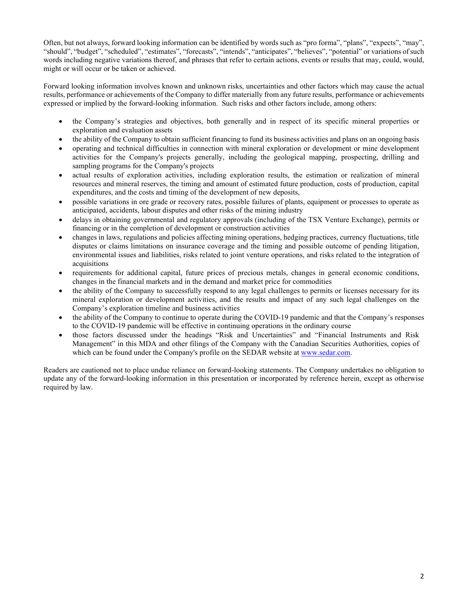Often, but not always, forward looking information can be identified by words such as "pro forma", "plans", "expects", "may", "should", "budget", "scheduled", "estimates", "forecasts", "intends", "anticipates", "believes", "potential" or variations ofsuch words including negative variations thereof, and phrases that refer to certain actions, events or results that may, could, would, might or will occur or be taken or achieved.

Forward looking information involves known and unknown risks, uncertainties and other factors which may cause the actual results, performance or achievements of the Company to differ materially from any future results, performance or achievements expressed or implied by the forward-looking information. Such risks and other factors include, among others:

- the Company's strategies and objectives, both generally and in respect of its specific mineral properties or exploration and evaluation assets
- the ability of the Company to obtain sufficient financing to fund its business activities and plans on an ongoing basis
- operating and technical difficulties in connection with mineral exploration or development or mine development activities for the Company's projects generally, including the geological mapping, prospecting, drilling and sampling programs for the Company's projects
- actual results of exploration activities, including exploration results, the estimation or realization of mineral resources and mineral reserves, the timing and amount of estimated future production, costs of production, capital expenditures, and the costs and timing of the development of new deposits,
- possible variations in ore grade or recovery rates, possible failures of plants, equipment or processes to operate as anticipated, accidents, labour disputes and other risks of the mining industry
- delays in obtaining governmental and regulatory approvals (including of the TSX Venture Exchange), permits or financing or in the completion of development or construction activities
- changes in laws, regulations and policies affecting mining operations, hedging practices, currency fluctuations, title disputes or claims limitations on insurance coverage and the timing and possible outcome of pending litigation, environmental issues and liabilities, risks related to joint venture operations, and risks related to the integration of acquisitions
- requirements for additional capital, future prices of precious metals, changes in general economic conditions, changes in the financial markets and in the demand and market price for commodities
- the ability of the Company to successfully respond to any legal challenges to permits or licenses necessary for its mineral exploration or development activities, and the results and impact of any such legal challenges on the Company's exploration timeline and business activities
- the ability of the Company to continue to operate during the COVID-19 pandemic and that the Company's responses to the COVID-19 pandemic will be effective in continuing operations in the ordinary course
- those factors discussed under the headings "Risk and Uncertainties" and "Financial Instruments and Risk Management" in this MDA and other filings of the Company with the Canadian Securities Authorities, copies of which can be found under the Company's profile on the SEDAR website at [www.sedar.com.](http://www.sedar.com/)

Readers are cautioned not to place undue reliance on forward-looking statements. The Company undertakes no obligation to update any of the forward-looking information in this presentation or incorporated by reference herein, except as otherwise required by law.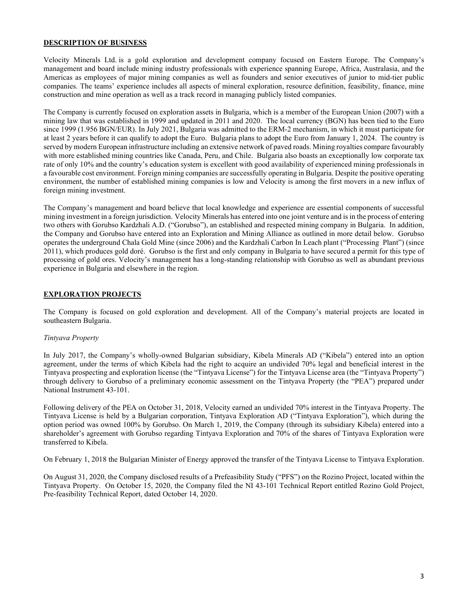#### **DESCRIPTION OF BUSINESS**

Velocity Minerals Ltd. is a gold exploration and development company focused on Eastern Europe. The Company's management and board include mining industry professionals with experience spanning Europe, Africa, Australasia, and the Americas as employees of major mining companies as well as founders and senior executives of junior to mid-tier public companies. The teams' experience includes all aspects of mineral exploration, resource definition, feasibility, finance, mine construction and mine operation as well as a track record in managing publicly listed companies.

The Company is currently focused on exploration assets in Bulgaria, which is a member of the European Union (2007) with a mining law that was established in 1999 and updated in 2011 and 2020. The local currency (BGN) has been tied to the Euro since 1999 (1.956 BGN/EUR). In July 2021, Bulgaria was admitted to the ERM-2 mechanism, in which it must participate for at least 2 years before it can qualify to adopt the Euro. Bulgaria plans to adopt the Euro from January 1, 2024. The country is served by modern European infrastructure including an extensive network of paved roads. Mining royalties compare favourably with more established mining countries like Canada, Peru, and Chile. Bulgaria also boasts an exceptionally low corporate tax rate of only 10% and the country's education system is excellent with good availability of experienced mining professionals in a favourable cost environment. Foreign mining companies are successfully operating in Bulgaria. Despite the positive operating environment, the number of established mining companies is low and Velocity is among the first movers in a new influx of foreign mining investment.

The Company's management and board believe that local knowledge and experience are essential components of successful mining investment in a foreign jurisdiction. Velocity Minerals has entered into one joint venture and is in the process of entering two others with Gorubso Kardzhali A.D. ("Gorubso"), an established and respected mining company in Bulgaria. In addition, the Company and Gorubso have entered into an Exploration and Mining Alliance as outlined in more detail below. Gorubso operates the underground Chala Gold Mine (since 2006) and the Kardzhali Carbon In Leach plant ("Processing Plant") (since 2011), which produces gold doré. Gorubso is the first and only company in Bulgaria to have secured a permit for this type of processing of gold ores. Velocity's management has a long-standing relationship with Gorubso as well as abundant previous experience in Bulgaria and elsewhere in the region.

### **EXPLORATION PROJECTS**

The Company is focused on gold exploration and development. All of the Company's material projects are located in southeastern Bulgaria.

#### *Tintyava Property*

In July 2017, the Company's wholly-owned Bulgarian subsidiary, Kibela Minerals AD ("Kibela") entered into an option agreement, under the terms of which Kibela had the right to acquire an undivided 70% legal and beneficial interest in the Tintyava prospecting and exploration license (the "Tintyava License") for the Tintyava License area (the "Tintyava Property") through delivery to Gorubso of a preliminary economic assessment on the Tintyava Property (the "PEA") prepared under National Instrument 43-101.

Following delivery of the PEA on October 31, 2018, Velocity earned an undivided 70% interest in the Tintyava Property. The Tintyava License is held by a Bulgarian corporation, Tintyava Exploration AD ("Tintyava Exploration"), which during the option period was owned 100% by Gorubso. On March 1, 2019, the Company (through its subsidiary Kibela) entered into a shareholder's agreement with Gorubso regarding Tintyava Exploration and 70% of the shares of Tintyava Exploration were transferred to Kibela.

On February 1, 2018 the Bulgarian Minister of Energy approved the transfer of the Tintyava License to Tintyava Exploration.

On August 31, 2020, the Company disclosed results of a Prefeasibility Study ("PFS") on the Rozino Project, located within the Tintyava Property. On October 15, 2020, the Company filed the NI 43-101 Technical Report entitled Rozino Gold Project, Pre-feasibility Technical Report, dated October 14, 2020.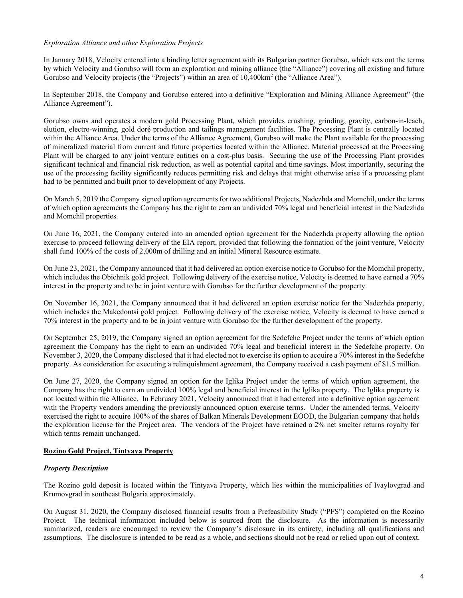### *Exploration Alliance and other Exploration Projects*

In January 2018, Velocity entered into a binding letter agreement with its Bulgarian partner Gorubso, which sets out the terms by which Velocity and Gorubso will form an exploration and mining alliance (the "Alliance") covering all existing and future Gorubso and Velocity projects (the "Projects") within an area of 10,400 km<sup>2</sup> (the "Alliance Area").

In September 2018, the Company and Gorubso entered into a definitive "Exploration and Mining Alliance Agreement" (the Alliance Agreement").

Gorubso owns and operates a modern gold Processing Plant, which provides crushing, grinding, gravity, carbon-in-leach, elution, electro-winning, gold doré production and tailings management facilities. The Processing Plant is centrally located within the Alliance Area. Under the terms of the Alliance Agreement, Gorubso will make the Plant available for the processing of mineralized material from current and future properties located within the Alliance. Material processed at the Processing Plant will be charged to any joint venture entities on a cost-plus basis. Securing the use of the Processing Plant provides significant technical and financial risk reduction, as well as potential capital and time savings. Most importantly, securing the use of the processing facility significantly reduces permitting risk and delays that might otherwise arise if a processing plant had to be permitted and built prior to development of any Projects.

On March 5, 2019 the Company signed option agreements for two additional Projects, Nadezhda and Momchil, under the terms of which option agreements the Company has the right to earn an undivided 70% legal and beneficial interest in the Nadezhda and Momchil properties.

On June 16, 2021, the Company entered into an amended option agreement for the Nadezhda property allowing the option exercise to proceed following delivery of the EIA report, provided that following the formation of the joint venture, Velocity shall fund 100% of the costs of 2,000m of drilling and an initial Mineral Resource estimate.

On June 23, 2021, the Company announced that it had delivered an option exercise notice to Gorubso for the Momchil property, which includes the Obichnik gold project. Following delivery of the exercise notice, Velocity is deemed to have earned a 70% interest in the property and to be in joint venture with Gorubso for the further development of the property.

On November 16, 2021, the Company announced that it had delivered an option exercise notice for the Nadezhda property, which includes the Makedontsi gold project. Following delivery of the exercise notice, Velocity is deemed to have earned a 70% interest in the property and to be in joint venture with Gorubso for the further development of the property.

On September 25, 2019, the Company signed an option agreement for the Sedefche Project under the terms of which option agreement the Company has the right to earn an undivided 70% legal and beneficial interest in the Sedefche property. On November 3, 2020, the Company disclosed that it had elected not to exercise its option to acquire a 70% interest in the Sedefche property. As consideration for executing a relinquishment agreement, the Company received a cash payment of \$1.5 million.

On June 27, 2020, the Company signed an option for the Iglika Project under the terms of which option agreement, the Company has the right to earn an undivided 100% legal and beneficial interest in the Iglika property. The Iglika property is not located within the Alliance. In February 2021, Velocity announced that it had entered into a definitive option agreement with the Property vendors amending the previously announced option exercise terms. Under the amended terms, Velocity exercised the right to acquire 100% of the shares of Balkan Minerals Development EOOD, the Bulgarian company that holds the exploration license for the Project area. The vendors of the Project have retained a 2% net smelter returns royalty for which terms remain unchanged.

### **Rozino Gold Project, Tintyava Property**

#### *Property Description*

The Rozino gold deposit is located within the Tintyava Property, which lies within the municipalities of Ivaylovgrad and Krumovgrad in southeast Bulgaria approximately.

On August 31, 2020, the Company disclosed financial results from a Prefeasibility Study ("PFS") completed on the Rozino Project. The technical information included below is sourced from the disclosure. As the information is necessarily summarized, readers are encouraged to review the Company's disclosure in its entirety, including all qualifications and assumptions. The disclosure is intended to be read as a whole, and sections should not be read or relied upon out of context.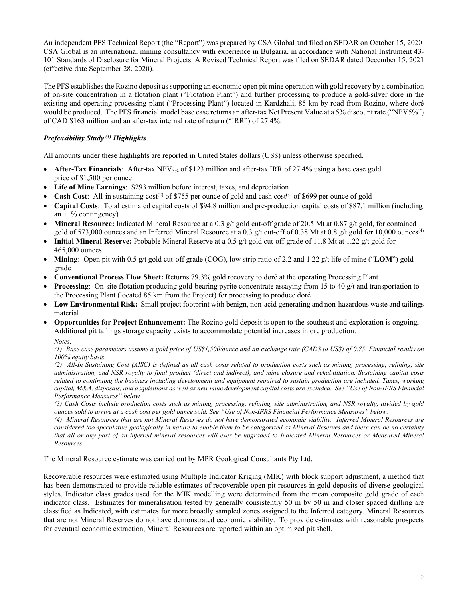An independent PFS Technical Report (the "Report") was prepared by CSA Global and filed on SEDAR on October 15, 2020. CSA Global is an international mining consultancy with experience in Bulgaria, in accordance with National Instrument 43- 101 Standards of Disclosure for Mineral Projects. A Revised Technical Report was filed on SEDAR dated December 15, 2021 (effective date September 28, 2020).

The PFS establishes the Rozino deposit as supporting an economic open pit mine operation with gold recovery by a combination of on-site concentration in a flotation plant ("Flotation Plant") and further processing to produce a gold-silver doré in the existing and operating processing plant ("Processing Plant") located in Kardzhali, 85 km by road from Rozino, where doré would be produced. The PFS financial model base case returns an after-tax Net Present Value at a 5% discount rate ("NPV5%") of CAD \$163 million and an after-tax internal rate of return ("IRR") of 27.4%.

# *Prefeasibility Study (1) Highlights*

All amounts under these highlights are reported in United States dollars (US\$) unless otherwise specified.

- **After-Tax Financials**: After-tax NPV<sub>5%</sub> of \$123 million and after-tax IRR of 27.4% using a base case gold price of \$1,500 per ounce
- **Life of Mine Earnings**: \$293 million before interest, taxes, and depreciation
- **Cash Cost**: All-in sustaining  $cost^{(2)}$  of \$755 per ounce of gold and cash  $cost^{(3)}$  of \$699 per ounce of gold
- **Capital Costs**: Total estimated capital costs of \$94.8 million and pre-production capital costs of \$87.1 million (including an 11% contingency)
- **Mineral Resource:** Indicated Mineral Resource at a 0.3 g/t gold cut-off grade of 20.5 Mt at 0.87 g/t gold, for contained gold of 573,000 ounces and an Inferred Mineral Resource at a 0.3 g/t cut-off of 0.38 Mt at 0.8 g/t gold for 10,000 ounces<sup>(4)</sup>
- **Initial Mineral Reserve:** Probable Mineral Reserve at a 0.5 g/t gold cut-off grade of 11.8 Mt at 1.22 g/t gold for 465,000 ounces
- **Mining**: Open pit with 0.5 g/t gold cut-off grade (COG), low strip ratio of 2.2 and 1.22 g/t life of mine ("**LOM**") gold grade
- **Conventional Process Flow Sheet:** Returns 79.3% gold recovery to doré at the operating Processing Plant
- **Processing:** On-site flotation producing gold-bearing pyrite concentrate assaying from 15 to 40 g/t and transportation to the Processing Plant (located 85 km from the Project) for processing to produce doré
- **Low Environmental Risk:** Small project footprint with benign, non-acid generating and non-hazardous waste and tailings material
- **Opportunities for Project Enhancement:** The Rozino gold deposit is open to the southeast and exploration is ongoing. Additional pit tailings storage capacity exists to accommodate potential increases in ore production.

*Notes:*

*(1) Base case parameters assume a gold price of US\$1,500/ounce and an exchange rate (CAD\$ to US\$) of 0.75. Financial results on 100% equity basis.*

*(2) All-In Sustaining Cost (AISC) is defined as all cash costs related to production costs such as mining, processing, refining, site administration, and NSR royalty to final product (direct and indirect), and mine closure and rehabilitation. Sustaining capital costs related to continuing the business including development and equipment required to sustain production are included. Taxes, working capital, M&A, disposals, and acquisitions as well as new mine development capital costs are excluded. See "Use of Non-IFRS Financial Performance Measures" below.*

*(3) Cash Costs include production costs such as mining, processing, refining, site administration, and NSR royalty, divided by gold ounces sold to arrive at a cash cost per gold ounce sold. See "Use of Non-IFRS Financial Performance Measures" below.*

*(4) Mineral Resources that are not Mineral Reserves do not have demonstrated economic viability. Inferred Mineral Resources are considered too speculative geologically in nature to enable them to be categorized as Mineral Reserves and there can be no certainty that all or any part of an inferred mineral resources will ever be upgraded to Indicated Mineral Resources or Measured Mineral Resources.* 

The Mineral Resource estimate was carried out by MPR Geological Consultants Pty Ltd.

Recoverable resources were estimated using Multiple Indicator Kriging (MIK) with block support adjustment, a method that has been demonstrated to provide reliable estimates of recoverable open pit resources in gold deposits of diverse geological styles. Indicator class grades used for the MIK modelling were determined from the mean composite gold grade of each indicator class. Estimates for mineralisation tested by generally consistently 50 m by 50 m and closer spaced drilling are classified as Indicated, with estimates for more broadly sampled zones assigned to the Inferred category. Mineral Resources that are not Mineral Reserves do not have demonstrated economic viability. To provide estimates with reasonable prospects for eventual economic extraction, Mineral Resources are reported within an optimized pit shell.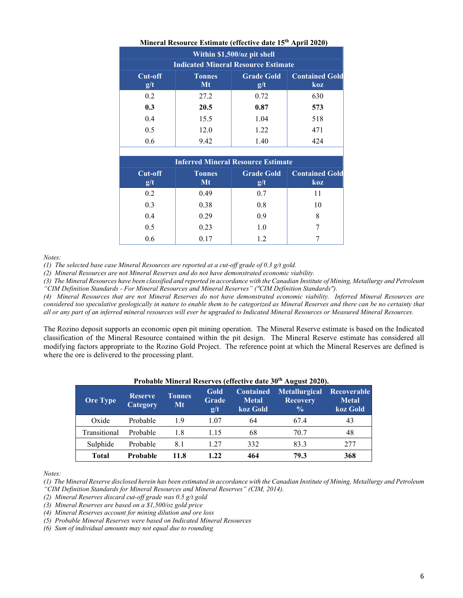|                                           | <b>Finite al Introduct Extintate (Circuive date 15 ) April 2020)</b> |                          |                              |  |  |  |
|-------------------------------------------|----------------------------------------------------------------------|--------------------------|------------------------------|--|--|--|
| Within \$1,500/oz pit shell               |                                                                      |                          |                              |  |  |  |
|                                           | <b>Indicated Mineral Resource Estimate</b>                           |                          |                              |  |  |  |
| Cut-off                                   | <b>Tonnes</b>                                                        | <b>Grade Gold</b>        | <b>Contained Gold</b>        |  |  |  |
| g/t                                       | Mt                                                                   | g/t                      | koz                          |  |  |  |
| 0.2                                       | 27.2                                                                 | 0.72                     | 630                          |  |  |  |
| 0.3                                       | 20.5                                                                 | 0.87                     | 573                          |  |  |  |
| 0.4                                       | 15.5                                                                 | 1.04                     | 518                          |  |  |  |
| 0.5                                       | 12.0                                                                 | 1.22                     | 471                          |  |  |  |
| 0.6                                       | 9.42                                                                 | 1.40                     | 424                          |  |  |  |
|                                           |                                                                      |                          |                              |  |  |  |
| <b>Inferred Mineral Resource Estimate</b> |                                                                      |                          |                              |  |  |  |
| Cut-off<br>$\mathbf{g}/\mathbf{t}$        | <b>Tonnes</b><br>Mt                                                  | <b>Grade Gold</b><br>g/t | <b>Contained Gold</b><br>koz |  |  |  |

0.2 0.49 0.7 11 0.3 0.38 0.8 10 0.4 0.29 0.9 8 0.5 0.23 1.0 7 0.6 0.17 1.2 7

| Mineral Resource Estimate (effective date 15 <sup>th</sup> April 2020) |  |
|------------------------------------------------------------------------|--|
|                                                                        |  |

*Notes:*

*(1) The selected base case Mineral Resources are reported at a cut-off grade of 0.3 g/t gold.*

*(2) Mineral Resources are not Mineral Reserves and do not have demonstrated economic viability.*

*(3) The Mineral Resources have been classified and reported in accordance with the Canadian Institute of Mining, Metallurgy and Petroleum "CIM Definition Standards - For Mineral Resources and Mineral Reserves" ("CIM Definition Standards").*

*(4) Mineral Resources that are not Mineral Reserves do not have demonstrated economic viability. Inferred Mineral Resources are considered too speculative geologically in nature to enable them to be categorized as Mineral Reserves and there can be no certainty that all or any part of an inferred mineral resources will ever be upgraded to Indicated Mineral Resources or Measured Mineral Resources.* 

The Rozino deposit supports an economic open pit mining operation. The Mineral Reserve estimate is based on the Indicated classification of the Mineral Resource contained within the pit design. The Mineral Reserve estimate has considered all modifying factors appropriate to the Rozino Gold Project. The reference point at which the Mineral Reserves are defined is where the ore is delivered to the processing plant.

| <b>Ore Type</b> | <b>Reserve</b><br>Category | <b>Tonnes</b><br>Mt | Gold<br>Grade<br>g/t | <b>Contained</b><br><b>Metal</b><br>koz Gold | <b>Metallurgical</b><br><b>Recovery</b><br>$\frac{0}{0}$ | Recoverable<br><b>Metal</b><br>koz Gold |
|-----------------|----------------------------|---------------------|----------------------|----------------------------------------------|----------------------------------------------------------|-----------------------------------------|
| Oxide           | Probable                   | 1.9                 | 1.07                 | 64                                           | 67.4                                                     | 43                                      |
| Transitional    | Probable                   | 1.8                 | 1.15                 | 68                                           | 70.7                                                     | 48                                      |
| Sulphide        | Probable                   | 8.1                 | 1.27                 | 332                                          | 83.3                                                     | 277                                     |
| <b>Total</b>    | Probable                   | 11.8                | 1.22                 | 464                                          | 79.3                                                     | 368                                     |

## **Probable Mineral Reserves (effective date 30th August 2020).**

*Notes:*

*(1) The Mineral Reserve disclosed herein has been estimated in accordance with the Canadian Institute of Mining, Metallurgy and Petroleum "CIM Definition Standards for Mineral Resources and Mineral Reserves" (CIM, 2014).*

*(2) Mineral Reserves discard cut-off grade was 0.5 g/t gold*

*(3) Mineral Reserves are based on a \$1,500/oz gold price*

*(4) Mineral Reserves account for mining dilution and ore loss*

*(5) Probable Mineral Reserves were based on Indicated Mineral Resources*

*(6) Sum of individual amounts may not equal due to rounding*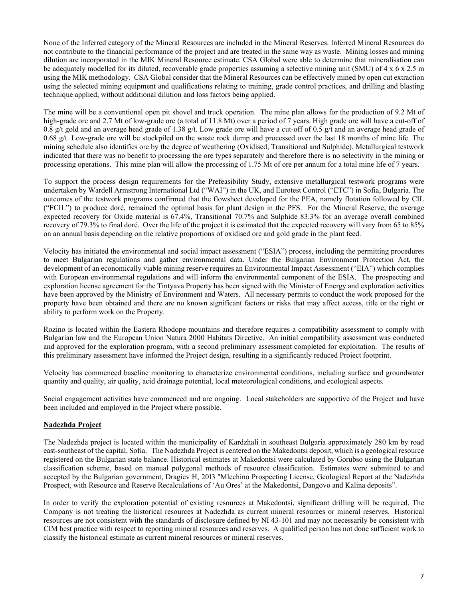None of the Inferred category of the Mineral Resources are included in the Mineral Reserves. Inferred Mineral Resources do not contribute to the financial performance of the project and are treated in the same way as waste. Mining losses and mining dilution are incorporated in the MIK Mineral Resource estimate. CSA Global were able to determine that mineralisation can be adequately modelled for its diluted, recoverable grade properties assuming a selective mining unit (SMU) of 4 x 6 x 2.5 m using the MIK methodology. CSA Global consider that the Mineral Resources can be effectively mined by open cut extraction using the selected mining equipment and qualifications relating to training, grade control practices, and drilling and blasting technique applied, without additional dilution and loss factors being applied.

The mine will be a conventional open pit shovel and truck operation. The mine plan allows for the production of 9.2 Mt of high-grade ore and 2.7 Mt of low-grade ore (a total of 11.8 Mt) over a period of 7 years. High grade ore will have a cut-off of 0.8 g/t gold and an average head grade of 1.38 g/t. Low grade ore will have a cut-off of 0.5 g/t and an average head grade of 0.68 g/t. Low-grade ore will be stockpiled on the waste rock dump and processed over the last 18 months of mine life. The mining schedule also identifies ore by the degree of weathering (Oxidised, Transitional and Sulphide). Metallurgical testwork indicated that there was no benefit to processing the ore types separately and therefore there is no selectivity in the mining or processing operations. This mine plan will allow the processing of 1.75 Mt of ore per annum for a total mine life of 7 years.

To support the process design requirements for the Prefeasibility Study, extensive metallurgical testwork programs were undertaken by Wardell Armstrong International Ltd ("WAI") in the UK, and Eurotest Control ("ETC") in Sofia, Bulgaria. The outcomes of the testwork programs confirmed that the flowsheet developed for the PEA, namely flotation followed by CIL ("FCIL") to produce doré, remained the optimal basis for plant design in the PFS. For the Mineral Reserve, the average expected recovery for Oxide material is 67.4%, Transitional 70.7% and Sulphide 83.3% for an average overall combined recovery of 79.3% to final doré. Over the life of the project it is estimated that the expected recovery will vary from 65 to 85% on an annual basis depending on the relative proportions of oxidised ore and gold grade in the plant feed.

Velocity has initiated the environmental and social impact assessment ("ESIA") process, including the permitting procedures to meet Bulgarian regulations and gather environmental data. Under the Bulgarian Environment Protection Act, the development of an economically viable mining reserve requires an Environmental Impact Assessment ("EIA") which complies with European environmental regulations and will inform the environmental component of the ESIA. The prospecting and exploration license agreement for the Tintyava Property has been signed with the Minister of Energy and exploration activities have been approved by the Ministry of Environment and Waters. All necessary permits to conduct the work proposed for the property have been obtained and there are no known significant factors or risks that may affect access, title or the right or ability to perform work on the Property.

Rozino is located within the Eastern Rhodope mountains and therefore requires a compatibility assessment to comply with Bulgarian law and the European Union Natura 2000 Habitats Directive. An initial compatibility assessment was conducted and approved for the exploration program, with a second preliminary assessment completed for exploitation. The results of this preliminary assessment have informed the Project design, resulting in a significantly reduced Project footprint.

Velocity has commenced baseline monitoring to characterize environmental conditions, including surface and groundwater quantity and quality, air quality, acid drainage potential, local meteorological conditions, and ecological aspects.

Social engagement activities have commenced and are ongoing. Local stakeholders are supportive of the Project and have been included and employed in the Project where possible.

### **Nadezhda Project**

The Nadezhda project is located within the municipality of Kardzhali in southeast Bulgaria approximately 280 km by road east-southeast of the capital, Sofia. The Nadezhda Project is centered on the Makedontsi deposit, which is a geological resource registered on the Bulgarian state balance. Historical estimates at Makedontsi were calculated by Gorubso using the Bulgarian classification scheme, based on manual polygonal methods of resource classification. Estimates were submitted to and accepted by the Bulgarian government, Dragiev H, 2013 "Mlechino Prospecting License, Geological Report at the Nadezhda Prospect, with Resource and Reserve Recalculations of 'Au Ores' at the Makedontsi, Dangovo and Kalina deposits".

In order to verify the exploration potential of existing resources at Makedontsi, significant drilling will be required. The Company is not treating the historical resources at Nadezhda as current mineral resources or mineral reserves. Historical resources are not consistent with the standards of disclosure defined by NI 43-101 and may not necessarily be consistent with CIM best practice with respect to reporting mineral resources and reserves. A qualified person has not done sufficient work to classify the historical estimate as current mineral resources or mineral reserves.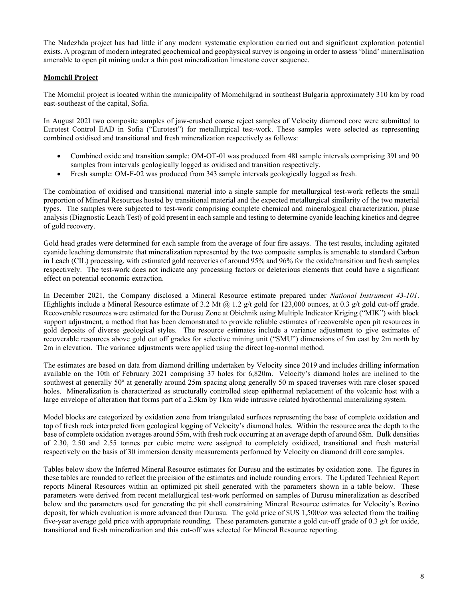The Nadezhda project has had little if any modern systematic exploration carried out and significant exploration potential exists. A program of modern integrated geochemical and geophysical survey is ongoing in order to assess 'blind' mineralisation amenable to open pit mining under a thin post mineralization limestone cover sequence.

## **Momchil Project**

The Momchil project is located within the municipality of Momchilgrad in southeast Bulgaria approximately 310 km by road east-southeast of the capital, Sofia.

In August 2021 two composite samples of jaw-crushed coarse reject samples of Velocity diamond core were submitted to Eurotest Control EAD in Sofia ("Eurotest") for metallurgical test-work. These samples were selected as representing combined oxidised and transitional and fresh mineralization respectively as follows:

- Combined oxide and transition sample: ОМ-ОТ-01 was produced from 481 sample intervals comprising 391 and 90 samples from intervals geologically logged as oxidised and transition respectively.
- Fresh sample: OM-F-02 was produced from 343 sample intervals geologically logged as fresh.

The combination of oxidised and transitional material into a single sample for metallurgical test-work reflects the small proportion of Mineral Resources hosted by transitional material and the expected metallurgical similarity of the two material types. The samples were subjected to test-work comprising complete chemical and mineralogical characterization, phase analysis (Diagnostic Leach Test) of gold present in each sample and testing to determine cyanide leaching kinetics and degree of gold recovery.

Gold head grades were determined for each sample from the average of four fire assays. The test results, including agitated cyanide leaching demonstrate that mineralization represented by the two composite samples is amenable to standard Carbon in Leach (CIL) processing, with estimated gold recoveries of around 95% and 96% for the oxide/transition and fresh samples respectively. The test-work does not indicate any processing factors or deleterious elements that could have a significant effect on potential economic extraction.

In December 2021, the Company disclosed a Mineral Resource estimate prepared under *National Instrument 43-101*. Highlights include a Mineral Resource estimate of 3.2 Mt  $\omega$  1.2 g/t gold for 123,000 ounces, at 0.3 g/t gold cut-off grade. Recoverable resources were estimated for the Durusu Zone at Obichnik using Multiple Indicator Kriging ("MIK") with block support adjustment, a method that has been demonstrated to provide reliable estimates of recoverable open pit resources in gold deposits of diverse geological styles. The resource estimates include a variance adjustment to give estimates of recoverable resources above gold cut off grades for selective mining unit ("SMU") dimensions of 5m east by 2m north by 2m in elevation. The variance adjustments were applied using the direct log-normal method.

The estimates are based on data from diamond drilling undertaken by Velocity since 2019 and includes drilling information available on the 10th of February 2021 comprising 37 holes for 6,820m. Velocity's diamond holes are inclined to the southwest at generally 50° at generally around 25m spacing along generally 50 m spaced traverses with rare closer spaced holes. Mineralization is characterized as structurally controlled steep epithermal replacement of the volcanic host with a large envelope of alteration that forms part of a 2.5km by 1km wide intrusive related hydrothermal mineralizing system.

Model blocks are categorized by oxidation zone from triangulated surfaces representing the base of complete oxidation and top of fresh rock interpreted from geological logging of Velocity's diamond holes. Within the resource area the depth to the base of complete oxidation averages around 55m, with fresh rock occurring at an average depth of around 68m. Bulk densities of 2.30, 2.50 and 2.55 tonnes per cubic metre were assigned to completely oxidized, transitional and fresh material respectively on the basis of 30 immersion density measurements performed by Velocity on diamond drill core samples.

Tables below show the Inferred Mineral Resource estimates for Durusu and the estimates by oxidation zone. The figures in these tables are rounded to reflect the precision of the estimates and include rounding errors. The Updated Technical Report reports Mineral Resources within an optimized pit shell generated with the parameters shown in a table below. These parameters were derived from recent metallurgical test-work performed on samples of Durusu mineralization as described below and the parameters used for generating the pit shell constraining Mineral Resource estimates for Velocity's Rozino deposit, for which evaluation is more advanced than Durusu. The gold price of \$US 1,500/oz was selected from the trailing five-year average gold price with appropriate rounding. These parameters generate a gold cut-off grade of 0.3 g/t for oxide, transitional and fresh mineralization and this cut-off was selected for Mineral Resource reporting.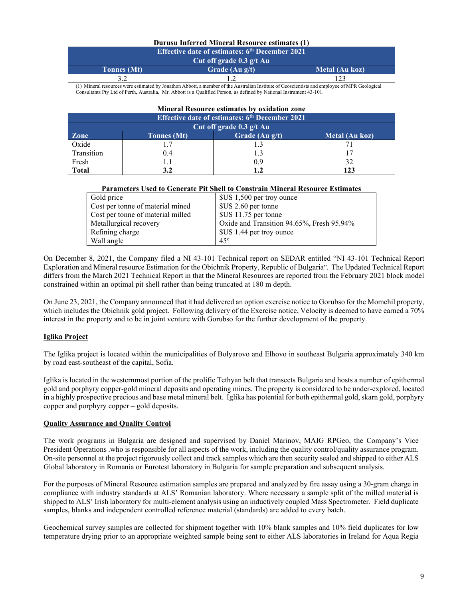### **Durusu Inferred Mineral Resource estimates (1)**

| <b>Effective date of estimates: 6th December 2021</b> |                  |                |  |  |
|-------------------------------------------------------|------------------|----------------|--|--|
| Cut off grade $0.3$ g/t Au                            |                  |                |  |  |
| <b>Tonnes</b> (Mt)                                    | Grade $(Au g/t)$ | Metal (Au koz) |  |  |
|                                                       |                  |                |  |  |

(1) Mineral resources were estimated by Jonathon Abbott, a member of the Australian Institute of Geoscientists and employee of MPR Geological Consultants Pty Ltd of Perth, Australia. Mr. Abbott is a Qualified Person, as defined by National Instrument 43-101.

| <b>Mineral Resource estimates by oxidation zone</b>   |                                                          |     |     |  |  |  |
|-------------------------------------------------------|----------------------------------------------------------|-----|-----|--|--|--|
| <b>Effective date of estimates: 6th December 2021</b> |                                                          |     |     |  |  |  |
| Cut off grade 0.3 g/t Au                              |                                                          |     |     |  |  |  |
| <b>Zone</b>                                           | Grade $(Au g/t)$<br>Metal (Au koz)<br><b>Tonnes</b> (Mt) |     |     |  |  |  |
| Oxide                                                 | 1.7                                                      |     | 71  |  |  |  |
| Transition                                            | 0.4                                                      |     |     |  |  |  |
| Fresh                                                 | 1.1                                                      | 0.9 | 32  |  |  |  |
| <b>Total</b>                                          | 3.2                                                      | 1.2 | 123 |  |  |  |

|  | <b>Parameters Used to Generate Pit Shell to Constrain Mineral Resource Estimates</b> |
|--|--------------------------------------------------------------------------------------|
|  |                                                                                      |

| Gold price                        | \$US 1,500 per troy ounce                 |
|-----------------------------------|-------------------------------------------|
| Cost per tonne of material mined  | \$US 2.60 per tonne                       |
| Cost per tonne of material milled | $SUS$ 11.75 per tonne                     |
| Metallurgical recovery            | Oxide and Transition 94.65%, Fresh 95.94% |
| Refining charge                   | \$US 1.44 per troy ounce                  |
| Wall angle                        | $45^\circ$                                |

On December 8, 2021, the Company filed a NI 43-101 Technical report on SEDAR entitled "NI 43-101 Technical Report Exploration and Mineral resource Estimation for the Obichnik Property, Republic of Bulgaria". The Updated Technical Report differs from the March 2021 Technical Report in that the Mineral Resources are reported from the February 2021 block model constrained within an optimal pit shell rather than being truncated at 180 m depth.

On June 23, 2021, the Company announced that it had delivered an option exercise notice to Gorubso for the Momchil property, which includes the Obichnik gold project. Following delivery of the Exercise notice, Velocity is deemed to have earned a 70% interest in the property and to be in joint venture with Gorubso for the further development of the property.

# **Iglika Project**

The Iglika project is located within the municipalities of Bolyarovo and Elhovo in southeast Bulgaria approximately 340 km by road east-southeast of the capital, Sofia.

Iglika is located in the westernmost portion of the prolific Tethyan belt that transects Bulgaria and hosts a number of epithermal gold and porphyry copper-gold mineral deposits and operating mines. The property is considered to be under-explored, located in a highly prospective precious and base metal mineral belt. Iglika has potential for both epithermal gold, skarn gold, porphyry copper and porphyry copper – gold deposits.

### **Quality Assurance and Quality Control**

The work programs in Bulgaria are designed and supervised by Daniel Marinov, MAIG RPGeo, the Company's Vice President Operations .who is responsible for all aspects of the work, including the quality control/quality assurance program. On-site personnel at the project rigorously collect and track samples which are then security sealed and shipped to either ALS Global laboratory in Romania or Eurotest laboratory in Bulgaria for sample preparation and subsequent analysis.

For the purposes of Mineral Resource estimation samples are prepared and analyzed by fire assay using a 30-gram charge in compliance with industry standards at ALS' Romanian laboratory. Where necessary a sample split of the milled material is shipped to ALS' Irish laboratory for multi-element analysis using an inductively coupled Mass Spectrometer. Field duplicate samples, blanks and independent controlled reference material (standards) are added to every batch.

Geochemical survey samples are collected for shipment together with 10% blank samples and 10% field duplicates for low temperature drying prior to an appropriate weighted sample being sent to either ALS laboratories in Ireland for Aqua Regia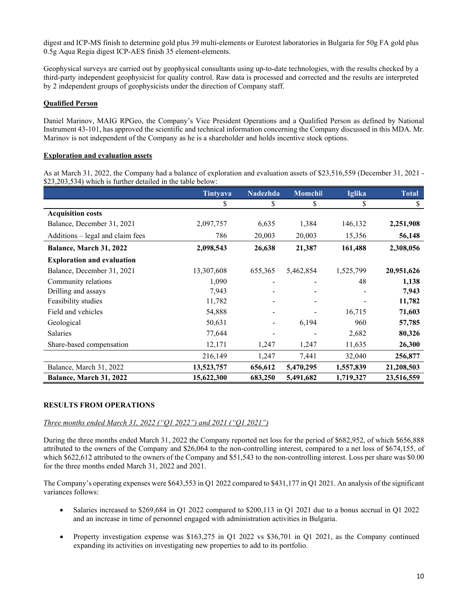digest and ICP-MS finish to determine gold plus 39 multi-elements or Eurotest laboratories in Bulgaria for 50g FA gold plus 0.5g Aqua Regia digest ICP-AES finish 35 element-elements.

Geophysical surveys are carried out by geophysical consultants using up-to-date technologies, with the results checked by a third-party independent geophysicist for quality control. Raw data is processed and corrected and the results are interpreted by 2 independent groups of geophysicists under the direction of Company staff.

## **Qualified Person**

Daniel Marinov, MAIG RPGeo, the Company's Vice President Operations and a Qualified Person as defined by National Instrument 43-101, has approved the scientific and technical information concerning the Company discussed in this MDA. Mr. Marinov is not independent of the Company as he is a shareholder and holds incentive stock options.

### **Exploration and evaluation assets**

As at March 31, 2022, the Company had a balance of exploration and evaluation assets of \$23,516,559 (December 31, 2021 - \$23,203,534) which is further detailed in the table below:

|                                   | <b>Tintyava</b> | <b>Nadezhda</b> | Momchil   | <b>Iglika</b> | <b>Total</b> |
|-----------------------------------|-----------------|-----------------|-----------|---------------|--------------|
|                                   | S               | \$              | \$        | \$            | \$           |
| <b>Acquisition costs</b>          |                 |                 |           |               |              |
| Balance, December 31, 2021        | 2,097,757       | 6,635           | 1,384     | 146,132       | 2,251,908    |
| Additions – legal and claim fees  | 786             | 20,003          | 20,003    | 15,356        | 56,148       |
| Balance, March 31, 2022           | 2,098,543       | 26,638          | 21,387    | 161,488       | 2,308,056    |
| <b>Exploration and evaluation</b> |                 |                 |           |               |              |
| Balance, December 31, 2021        | 13,307,608      | 655,365         | 5,462,854 | 1,525,799     | 20,951,626   |
| Community relations               | 1,090           |                 |           | 48            | 1,138        |
| Drilling and assays               | 7,943           |                 |           |               | 7,943        |
| Feasibility studies               | 11,782          |                 |           |               | 11,782       |
| Field and vehicles                | 54,888          |                 |           | 16,715        | 71,603       |
| Geological                        | 50,631          |                 | 6,194     | 960           | 57,785       |
| Salaries                          | 77,644          |                 |           | 2,682         | 80,326       |
| Share-based compensation          | 12,171          | 1,247           | 1,247     | 11,635        | 26,300       |
|                                   | 216,149         | 1,247           | 7,441     | 32,040        | 256,877      |
| Balance, March 31, 2022           | 13,523,757      | 656,612         | 5,470,295 | 1,557,839     | 21,208,503   |
| Balance, March 31, 2022           | 15,622,300      | 683,250         | 5,491,682 | 1,719,327     | 23,516,559   |

# **RESULTS FROM OPERATIONS**

### *Three months ended March 31, 2022 ("Q1 2022") and 2021 ("Q1 2021")*

During the three months ended March 31, 2022 the Company reported net loss for the period of \$682,952, of which \$656,888 attributed to the owners of the Company and \$26,064 to the non-controlling interest, compared to a net loss of \$674,155, of which \$622,612 attributed to the owners of the Company and \$51,543 to the non-controlling interest. Loss per share was \$0.00 for the three months ended March 31, 2022 and 2021.

The Company's operating expenses were \$643,553 in Q1 2022 compared to \$431,177 in Q1 2021. An analysis of the significant variances follows:

- Salaries increased to \$269,684 in Q1 2022 compared to \$200,113 in Q1 2021 due to a bonus accrual in Q1 2022 and an increase in time of personnel engaged with administration activities in Bulgaria.
- Property investigation expense was \$163,275 in Q1 2022 vs \$36,701 in Q1 2021, as the Company continued expanding its activities on investigating new properties to add to its portfolio.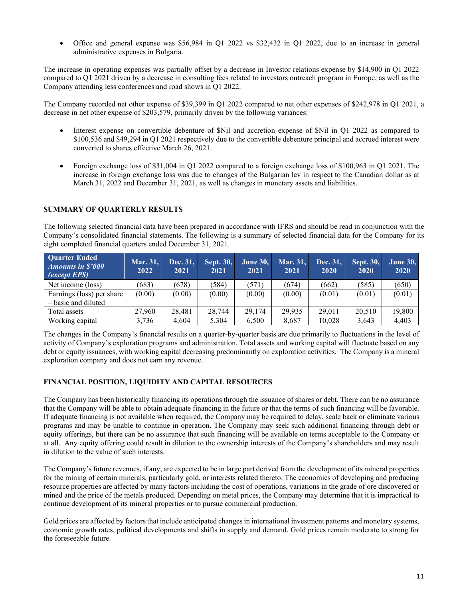• Office and general expense was \$56,984 in Q1 2022 vs \$32,432 in Q1 2022, due to an increase in general administrative expenses in Bulgaria.

The increase in operating expenses was partially offset by a decrease in Investor relations expense by \$14,900 in Q1 2022 compared to Q1 2021 driven by a decrease in consulting fees related to investors outreach program in Europe, as well as the Company attending less conferences and road shows in Q1 2022.

The Company recorded net other expense of \$39,399 in Q1 2022 compared to net other expenses of \$242,978 in Q1 2021, a decrease in net other expense of \$203,579, primarily driven by the following variances:

- Interest expense on convertible debenture of \$Nil and accretion expense of \$Nil in Q1 2022 as compared to \$100,536 and \$49,294 in Q1 2021 respectively due to the convertible debenture principal and accrued interest were converted to shares effective March 26, 2021.
- Foreign exchange loss of \$31,004 in Q1 2022 compared to a foreign exchange loss of \$100,963 in Q1 2021. The increase in foreign exchange loss was due to changes of the Bulgarian lev in respect to the Canadian dollar as at March 31, 2022 and December 31, 2021, as well as changes in monetary assets and liabilities.

### **SUMMARY OF QUARTERLY RESULTS**

The following selected financial data have been prepared in accordance with IFRS and should be read in conjunction with the Company's consolidated financial statements. The following is a summary of selected financial data for the Company for its eight completed financial quarters ended December 31, 2021.

| <b>Quarter Ended</b><br><i>Amounts in \$'000</i><br>$\sqrt{(except EPS)}$ | Mar. 31,<br>2022 | Dec. 31,<br>2021 | <b>Sept. 30,</b><br>2021 | <b>June 30,</b><br>2021 | Mar. 31,<br>2021 | Dec. 31,<br>2020 | <b>Sept. 30,</b><br>2020 | <b>June 30,</b><br>2020 |
|---------------------------------------------------------------------------|------------------|------------------|--------------------------|-------------------------|------------------|------------------|--------------------------|-------------------------|
| Net income (loss)                                                         | (683)            | (678)            | (584)                    | (571)                   | (674)            | (662)            | (585)                    | (650)                   |
| Earnings (loss) per share<br>– basic and diluted                          | (0.00)           | (0.00)           | (0.00)                   | (0.00)                  | (0.00)           | (0.01)           | (0.01)                   | (0.01)                  |
| Total assets                                                              | 27,960           | 28.481           | 28,744                   | 29,174                  | 29.935           | 29.011           | 20,510                   | 19,800                  |
| Working capital                                                           | 3,736            | 4.604            | 5,304                    | 6,500                   | 8.687            | 10.028           | 3,643                    | 4,403                   |

The changes in the Company's financial results on a quarter-by-quarter basis are due primarily to fluctuations in the level of activity of Company's exploration programs and administration. Total assets and working capital will fluctuate based on any debt or equity issuances, with working capital decreasing predominantly on exploration activities. The Company is a mineral exploration company and does not earn any revenue.

### **FINANCIAL POSITION, LIQUIDITY AND CAPITAL RESOURCES**

The Company has been historically financing its operations through the issuance of shares or debt. There can be no assurance that the Company will be able to obtain adequate financing in the future or that the terms of such financing will be favorable. If adequate financing is not available when required, the Company may be required to delay, scale back or eliminate various programs and may be unable to continue in operation. The Company may seek such additional financing through debt or equity offerings, but there can be no assurance that such financing will be available on terms acceptable to the Company or at all. Any equity offering could result in dilution to the ownership interests of the Company's shareholders and may result in dilution to the value of such interests.

The Company's future revenues, if any, are expected to be in large part derived from the development of its mineral properties for the mining of certain minerals, particularly gold, or interests related thereto. The economics of developing and producing resource properties are affected by many factors including the cost of operations, variations in the grade of ore discovered or mined and the price of the metals produced. Depending on metal prices, the Company may determine that it is impractical to continue development of its mineral properties or to pursue commercial production.

Gold prices are affected by factors that include anticipated changes in international investment patterns and monetary systems, economic growth rates, political developments and shifts in supply and demand. Gold prices remain moderate to strong for the foreseeable future.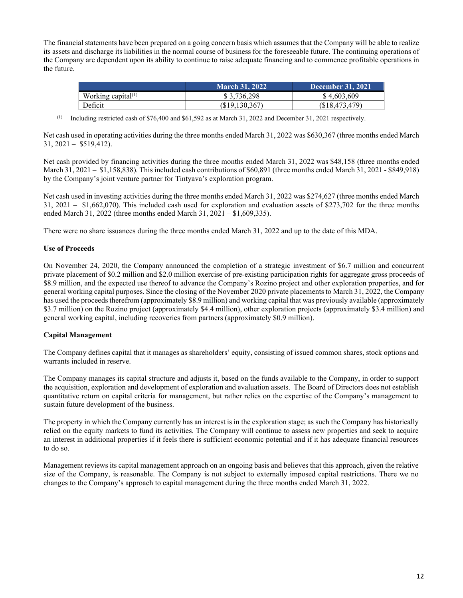The financial statements have been prepared on a going concern basis which assumes that the Company will be able to realize its assets and discharge its liabilities in the normal course of business for the foreseeable future. The continuing operations of the Company are dependent upon its ability to continue to raise adequate financing and to commence profitable operations in the future.

|                       | <b>March 31, 2022</b> | December 31, 2021 |
|-----------------------|-----------------------|-------------------|
| Working capital $(1)$ | \$3.736.298           | \$4,603,609       |
| Deficit               | \$19,130,367          | (S18, 473, 479)   |

(1) Including restricted cash of \$76,400 and \$61,592 as at March 31, 2022 and December 31, 2021 respectively.

Net cash used in operating activities during the three months ended March 31, 2022 was \$630,367 (three months ended March 31, 2021 – \$519,412).

Net cash provided by financing activities during the three months ended March 31, 2022 was \$48,158 (three months ended March 31, 2021 – \$1,158,838). This included cash contributions of \$60,891 (three months ended March 31, 2021 - \$849,918) by the Company's joint venture partner for Tintyava's exploration program.

Net cash used in investing activities during the three months ended March 31, 2022 was \$274,627 (three months ended March 31, 2021 – \$1,662,070). This included cash used for exploration and evaluation assets of \$273,702 for the three months ended March 31, 2022 (three months ended March 31, 2021 – \$1,609,335).

There were no share issuances during the three months ended March 31, 2022 and up to the date of this MDA.

## **Use of Proceeds**

On November 24, 2020, the Company announced the completion of a strategic investment of \$6.7 million and concurrent private placement of \$0.2 million and \$2.0 million exercise of pre-existing participation rights for aggregate gross proceeds of \$8.9 million, and the expected use thereof to advance the Company's Rozino project and other exploration properties, and for general working capital purposes. Since the closing of the November 2020 private placements to March 31, 2022, the Company has used the proceeds therefrom (approximately \$8.9 million) and working capital that was previously available (approximately \$3.7 million) on the Rozino project (approximately \$4.4 million), other exploration projects (approximately \$3.4 million) and general working capital, including recoveries from partners (approximately \$0.9 million).

### **Capital Management**

The Company defines capital that it manages as shareholders' equity, consisting of issued common shares, stock options and warrants included in reserve.

The Company manages its capital structure and adjusts it, based on the funds available to the Company, in order to support the acquisition, exploration and development of exploration and evaluation assets. The Board of Directors does not establish quantitative return on capital criteria for management, but rather relies on the expertise of the Company's management to sustain future development of the business.

The property in which the Company currently has an interest is in the exploration stage; as such the Company has historically relied on the equity markets to fund its activities. The Company will continue to assess new properties and seek to acquire an interest in additional properties if it feels there is sufficient economic potential and if it has adequate financial resources to do so.

Management reviews its capital management approach on an ongoing basis and believes that this approach, given the relative size of the Company, is reasonable. The Company is not subject to externally imposed capital restrictions. There we no changes to the Company's approach to capital management during the three months ended March 31, 2022.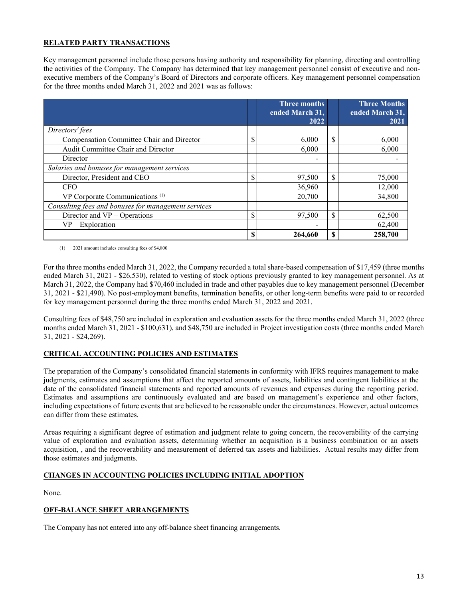## **RELATED PARTY TRANSACTIONS**

Key management personnel include those persons having authority and responsibility for planning, directing and controlling the activities of the Company. The Company has determined that key management personnel consist of executive and nonexecutive members of the Company's Board of Directors and corporate officers. Key management personnel compensation for the three months ended March 31, 2022 and 2021 was as follows:

|                                                     | <b>Three months</b><br>ended March 31,<br>2022 |    | <b>Three Months</b><br>ended March 31,<br>2021 |
|-----------------------------------------------------|------------------------------------------------|----|------------------------------------------------|
| Directors' fees                                     |                                                |    |                                                |
| Compensation Committee Chair and Director           | \$<br>6,000                                    | \$ | 6,000                                          |
| Audit Committee Chair and Director                  | 6,000                                          |    | 6.000                                          |
| Director                                            | $\overline{\phantom{0}}$                       |    |                                                |
| Salaries and bonuses for management services        |                                                |    |                                                |
| Director, President and CEO                         | \$<br>97,500                                   | \$ | 75,000                                         |
| <b>CFO</b>                                          | 36,960                                         |    | 12,000                                         |
| VP Corporate Communications <sup>(1)</sup>          | 20,700                                         |    | 34,800                                         |
| Consulting fees and bonuses for management services |                                                |    |                                                |
| Director and $VP -$ Operations                      | 97.500                                         | \$ | 62,500                                         |
| $VP$ – Exploration                                  |                                                |    | 62,400                                         |
|                                                     | \$<br>264,660                                  | S  | 258,700                                        |

(1) 2021 amount includes consulting fees of \$4,800

For the three months ended March 31, 2022, the Company recorded a total share-based compensation of \$17,459 (three months ended March 31, 2021 - \$26,530), related to vesting of stock options previously granted to key management personnel. As at March 31, 2022, the Company had \$70,460 included in trade and other payables due to key management personnel (December 31, 2021 - \$21,490). No post-employment benefits, termination benefits, or other long-term benefits were paid to or recorded for key management personnel during the three months ended March 31, 2022 and 2021.

Consulting fees of \$48,750 are included in exploration and evaluation assets for the three months ended March 31, 2022 (three months ended March 31, 2021 - \$100,631), and \$48,750 are included in Project investigation costs (three months ended March 31, 2021 - \$24,269).

### **CRITICAL ACCOUNTING POLICIES AND ESTIMATES**

The preparation of the Company's consolidated financial statements in conformity with IFRS requires management to make judgments, estimates and assumptions that affect the reported amounts of assets, liabilities and contingent liabilities at the date of the consolidated financial statements and reported amounts of revenues and expenses during the reporting period. Estimates and assumptions are continuously evaluated and are based on management's experience and other factors, including expectations of future events that are believed to be reasonable under the circumstances. However, actual outcomes can differ from these estimates.

Areas requiring a significant degree of estimation and judgment relate to going concern, the recoverability of the carrying value of exploration and evaluation assets, determining whether an acquisition is a business combination or an assets acquisition, , and the recoverability and measurement of deferred tax assets and liabilities. Actual results may differ from those estimates and judgments.

### **CHANGES IN ACCOUNTING POLICIES INCLUDING INITIAL ADOPTION**

None.

### **OFF-BALANCE SHEET ARRANGEMENTS**

The Company has not entered into any off-balance sheet financing arrangements.